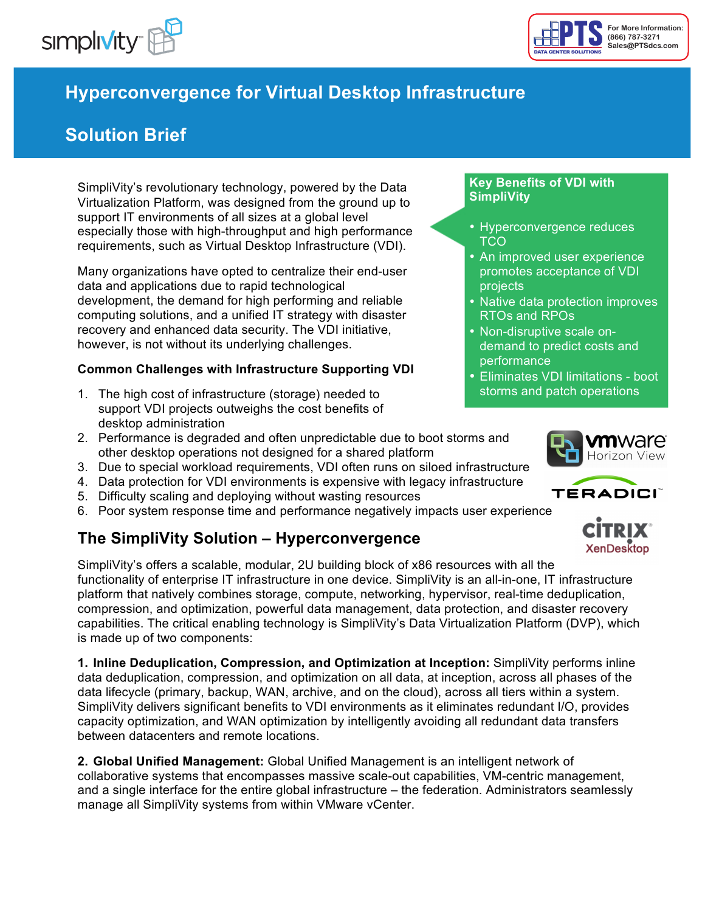



# **Hyperconvergence for Virtual Desktop Infrastructure**

# **Solution Brief**

SimpliVity's revolutionary technology, powered by the Data Virtualization Platform, was designed from the ground up to support IT environments of all sizes at a global level especially those with high-throughput and high performance requirements, such as Virtual Desktop Infrastructure (VDI).

Many organizations have opted to centralize their end-user data and applications due to rapid technological development, the demand for high performing and reliable computing solutions, and a unified IT strategy with disaster recovery and enhanced data security. The VDI initiative, however, is not without its underlying challenges.

#### **Common Challenges with Infrastructure Supporting VDI**

- 1. The high cost of infrastructure (storage) needed to support VDI projects outweighs the cost benefits of desktop administration
- 2. Performance is degraded and often unpredictable due to boot storms and other desktop operations not designed for a shared platform
- 3. Due to special workload requirements, VDI often runs on siloed infrastructure
- 4. Data protection for VDI environments is expensive with legacy infrastructure
- 5. Difficulty scaling and deploying without wasting resources
- 6. Poor system response time and performance negatively impacts user experience

## **The SimpliVity Solution – Hyperconvergence**

SimpliVity's offers a scalable, modular, 2U building block of x86 resources with all the functionality of enterprise IT infrastructure in one device. SimpliVity is an all-in-one, IT infrastructure platform that natively combines storage, compute, networking, hypervisor, real-time deduplication, compression, and optimization, powerful data management, data protection, and disaster recovery capabilities. The critical enabling technology is SimpliVity's Data Virtualization Platform (DVP), which is made up of two components:

**1. Inline Deduplication, Compression, and Optimization at Inception:** SimpliVity performs inline data deduplication, compression, and optimization on all data, at inception, across all phases of the data lifecycle (primary, backup, WAN, archive, and on the cloud), across all tiers within a system. SimpliVity delivers significant benefits to VDI environments as it eliminates redundant I/O, provides capacity optimization, and WAN optimization by intelligently avoiding all redundant data transfers between datacenters and remote locations.

**2. Global Unified Management:** Global Unified Management is an intelligent network of collaborative systems that encompasses massive scale-out capabilities, VM-centric management, and a single interface for the entire global infrastructure – the federation. Administrators seamlessly manage all SimpliVity systems from within VMware vCenter.

#### **Key Benefits of VDI with SimpliVity**

- Hyperconvergence reduces TCO
- An improved user experience promotes acceptance of VDI projects
- Native data protection improves RTOs and RPOs
- Non-disruptive scale ondemand to predict costs and performance
- Eliminates VDI limitations boot storms and patch operations